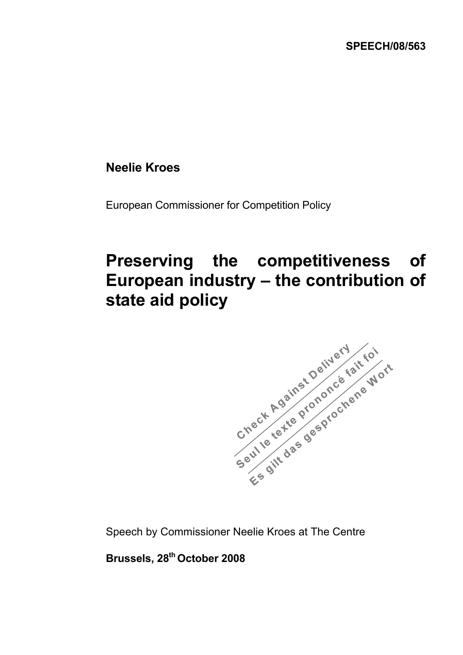## **Neelie Kroes**

European Commissioner for Competition Policy

## **Preserving the competitiveness of European industry – the contribution of**



Speech by Commissioner Neelie Kroes at The Centre

**Brussels, 28th October 2008**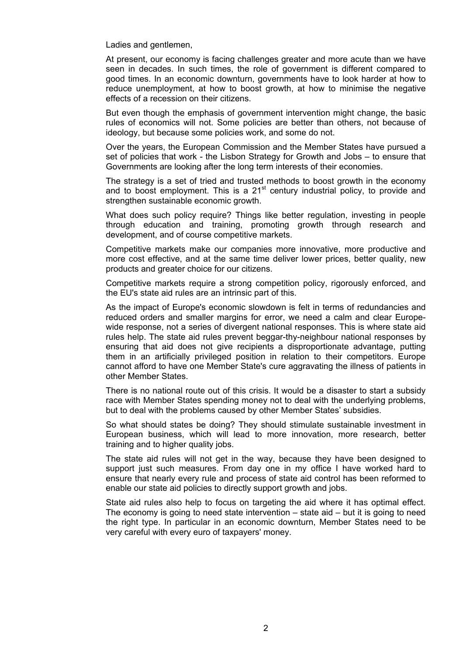Ladies and gentlemen,

At present, our economy is facing challenges greater and more acute than we have seen in decades. In such times, the role of government is different compared to good times. In an economic downturn, governments have to look harder at how to reduce unemployment, at how to boost growth, at how to minimise the negative effects of a recession on their citizens.

But even though the emphasis of government intervention might change, the basic rules of economics will not. Some policies are better than others, not because of ideology, but because some policies work, and some do not.

Over the years, the European Commission and the Member States have pursued a set of policies that work - the Lisbon Strategy for Growth and Jobs – to ensure that Governments are looking after the long term interests of their economies.

The strategy is a set of tried and trusted methods to boost growth in the economy and to boost employment. This is a  $21<sup>st</sup>$  century industrial policy, to provide and strengthen sustainable economic growth.

What does such policy require? Things like better regulation, investing in people through education and training, promoting growth through research and development, and of course competitive markets.

Competitive markets make our companies more innovative, more productive and more cost effective, and at the same time deliver lower prices, better quality, new products and greater choice for our citizens.

Competitive markets require a strong competition policy, rigorously enforced, and the EU's state aid rules are an intrinsic part of this.

As the impact of Europe's economic slowdown is felt in terms of redundancies and reduced orders and smaller margins for error, we need a calm and clear Europewide response, not a series of divergent national responses. This is where state aid rules help. The state aid rules prevent beggar-thy-neighbour national responses by ensuring that aid does not give recipients a disproportionate advantage, putting them in an artificially privileged position in relation to their competitors. Europe cannot afford to have one Member State's cure aggravating the illness of patients in other Member States.

There is no national route out of this crisis. It would be a disaster to start a subsidy race with Member States spending money not to deal with the underlying problems, but to deal with the problems caused by other Member States' subsidies.

So what should states be doing? They should stimulate sustainable investment in European business, which will lead to more innovation, more research, better training and to higher quality jobs.

The state aid rules will not get in the way, because they have been designed to support just such measures. From day one in my office I have worked hard to ensure that nearly every rule and process of state aid control has been reformed to enable our state aid policies to directly support growth and jobs.

State aid rules also help to focus on targeting the aid where it has optimal effect. The economy is going to need state intervention – state aid – but it is going to need the right type. In particular in an economic downturn, Member States need to be very careful with every euro of taxpayers' money.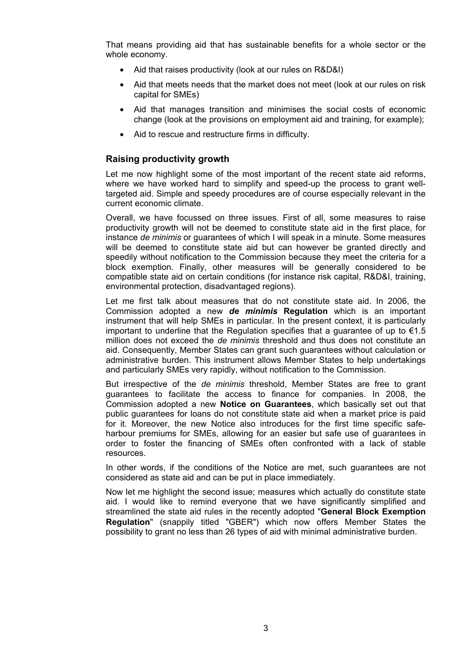That means providing aid that has sustainable benefits for a whole sector or the whole economy.

- Aid that raises productivity (look at our rules on R&D&I)
- Aid that meets needs that the market does not meet (look at our rules on risk capital for SMEs)
- Aid that manages transition and minimises the social costs of economic change (look at the provisions on employment aid and training, for example);
- Aid to rescue and restructure firms in difficulty.

## **Raising productivity growth**

Let me now highlight some of the most important of the recent state aid reforms, where we have worked hard to simplify and speed-up the process to grant welltargeted aid. Simple and speedy procedures are of course especially relevant in the current economic climate.

Overall, we have focussed on three issues. First of all, some measures to raise productivity growth will not be deemed to constitute state aid in the first place, for instance *de minimis* or guarantees of which I will speak in a minute. Some measures will be deemed to constitute state aid but can however be granted directly and speedily without notification to the Commission because they meet the criteria for a block exemption. Finally, other measures will be generally considered to be compatible state aid on certain conditions (for instance risk capital, R&D&I, training, environmental protection, disadvantaged regions).

Let me first talk about measures that do not constitute state aid. In 2006, the Commission adopted a new *de minimis* **Regulation** which is an important instrument that will help SMEs in particular. In the present context, it is particularly important to underline that the Regulation specifies that a guarantee of up to  $\epsilon$ 1.5 million does not exceed the *de minimis* threshold and thus does not constitute an aid. Consequently, Member States can grant such guarantees without calculation or administrative burden. This instrument allows Member States to help undertakings and particularly SMEs very rapidly, without notification to the Commission.

But irrespective of the *de minimis* threshold, Member States are free to grant guarantees to facilitate the access to finance for companies. In 2008, the Commission adopted a new **Notice on Guarantees**, which basically set out that public guarantees for loans do not constitute state aid when a market price is paid for it. Moreover, the new Notice also introduces for the first time specific safeharbour premiums for SMEs, allowing for an easier but safe use of guarantees in order to foster the financing of SMEs often confronted with a lack of stable resources.

In other words, if the conditions of the Notice are met, such guarantees are not considered as state aid and can be put in place immediately.

Now let me highlight the second issue; measures which actually do constitute state aid. I would like to remind everyone that we have significantly simplified and streamlined the state aid rules in the recently adopted "**General Block Exemption Regulation**" (snappily titled "GBER") which now offers Member States the possibility to grant no less than 26 types of aid with minimal administrative burden.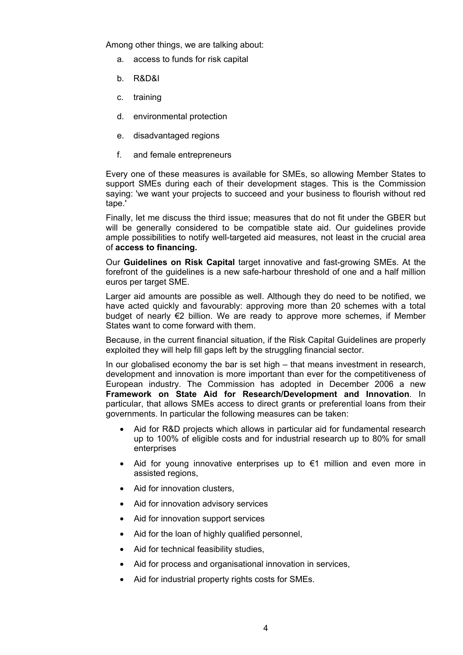Among other things, we are talking about:

- a. access to funds for risk capital
- b. R&D&I
- c. training
- d. environmental protection
- e. disadvantaged regions
- f. and female entrepreneurs

Every one of these measures is available for SMEs, so allowing Member States to support SMEs during each of their development stages. This is the Commission saying: 'we want your projects to succeed and your business to flourish without red tape.'

Finally, let me discuss the third issue; measures that do not fit under the GBER but will be generally considered to be compatible state aid. Our guidelines provide ample possibilities to notify well-targeted aid measures, not least in the crucial area of **access to financing.** 

Our **Guidelines on Risk Capital** target innovative and fast-growing SMEs. At the forefront of the guidelines is a new safe-harbour threshold of one and a half million euros per target SME.

Larger aid amounts are possible as well. Although they do need to be notified, we have acted quickly and favourably: approving more than 20 schemes with a total budget of nearly  $\epsilon$ 2 billion. We are ready to approve more schemes, if Member States want to come forward with them.

Because, in the current financial situation, if the Risk Capital Guidelines are properly exploited they will help fill gaps left by the struggling financial sector.

In our globalised economy the bar is set high – that means investment in research, development and innovation is more important than ever for the competitiveness of European industry. The Commission has adopted in December 2006 a new **Framework on State Aid for Research/Development and Innovation**. In particular, that allows SMEs access to direct grants or preferential loans from their governments. In particular the following measures can be taken:

- Aid for R&D projects which allows in particular aid for fundamental research up to 100% of eligible costs and for industrial research up to 80% for small enterprises
- Aid for young innovative enterprises up to €1 million and even more in assisted regions,
- Aid for innovation clusters,
- Aid for innovation advisory services
- Aid for innovation support services
- Aid for the loan of highly qualified personnel.
- Aid for technical feasibility studies,
- Aid for process and organisational innovation in services,
- Aid for industrial property rights costs for SMEs.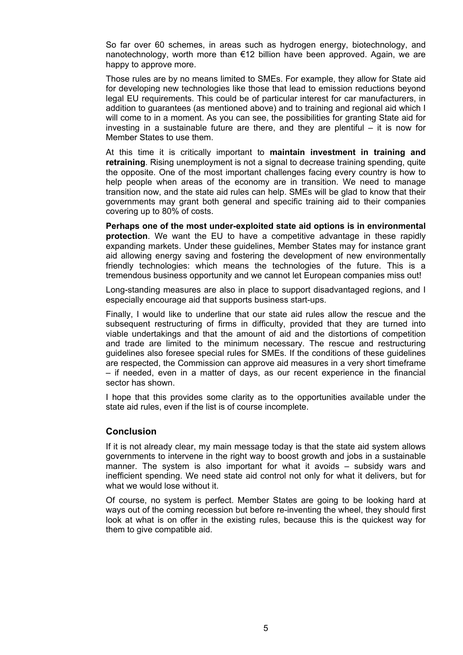So far over 60 schemes, in areas such as hydrogen energy, biotechnology, and nanotechnology, worth more than €12 billion have been approved. Again, we are happy to approve more.

Those rules are by no means limited to SMEs. For example, they allow for State aid for developing new technologies like those that lead to emission reductions beyond legal EU requirements. This could be of particular interest for car manufacturers, in addition to guarantees (as mentioned above) and to training and regional aid which I will come to in a moment. As you can see, the possibilities for granting State aid for investing in a sustainable future are there, and they are plentiful – it is now for Member States to use them.

At this time it is critically important to **maintain investment in training and retraining**. Rising unemployment is not a signal to decrease training spending, quite the opposite. One of the most important challenges facing every country is how to help people when areas of the economy are in transition. We need to manage transition now, and the state aid rules can help. SMEs will be glad to know that their governments may grant both general and specific training aid to their companies covering up to 80% of costs.

**Perhaps one of the most under-exploited state aid options is in environmental protection**. We want the EU to have a competitive advantage in these rapidly expanding markets. Under these guidelines, Member States may for instance grant aid allowing energy saving and fostering the development of new environmentally friendly technologies: which means the technologies of the future. This is a tremendous business opportunity and we cannot let European companies miss out!

Long-standing measures are also in place to support disadvantaged regions, and I especially encourage aid that supports business start-ups.

Finally, I would like to underline that our state aid rules allow the rescue and the subsequent restructuring of firms in difficulty, provided that they are turned into viable undertakings and that the amount of aid and the distortions of competition and trade are limited to the minimum necessary. The rescue and restructuring guidelines also foresee special rules for SMEs. If the conditions of these guidelines are respected, the Commission can approve aid measures in a very short timeframe – if needed, even in a matter of days, as our recent experience in the financial sector has shown.

I hope that this provides some clarity as to the opportunities available under the state aid rules, even if the list is of course incomplete.

## **Conclusion**

If it is not already clear, my main message today is that the state aid system allows governments to intervene in the right way to boost growth and jobs in a sustainable manner. The system is also important for what it avoids – subsidy wars and inefficient spending. We need state aid control not only for what it delivers, but for what we would lose without it.

Of course, no system is perfect. Member States are going to be looking hard at ways out of the coming recession but before re-inventing the wheel, they should first look at what is on offer in the existing rules, because this is the quickest way for them to give compatible aid.